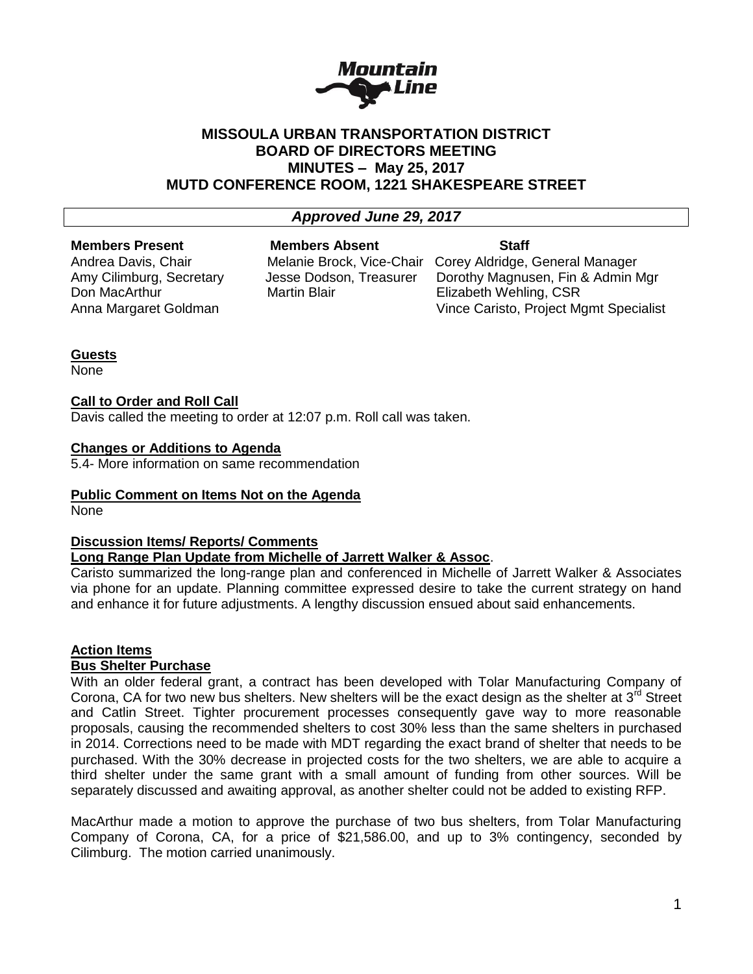

# **MISSOULA URBAN TRANSPORTATION DISTRICT BOARD OF DIRECTORS MEETING MINUTES – May 25, 2017 MUTD CONFERENCE ROOM, 1221 SHAKESPEARE STREET**

# *Approved June 29, 2017*

# **Members Present Members Absent Staff**

Don MacArthur Martin Blair Elizabeth Wehling, CSR

Andrea Davis, Chair **Melanie Brock, Vice-Chair Corey Aldridge**, General Manager Amy Cilimburg, Secretary Jesse Dodson, Treasurer Dorothy Magnusen, Fin & Admin Mgr Anna Margaret Goldman Vince Caristo, Project Mgmt Specialist

# **Guests**

None

## **Call to Order and Roll Call**

Davis called the meeting to order at 12:07 p.m. Roll call was taken.

#### **Changes or Additions to Agenda**

5.4- More information on same recommendation

#### **Public Comment on Items Not on the Agenda**

None

# **Discussion Items/ Reports/ Comments**

# **Long Range Plan Update from Michelle of Jarrett Walker & Assoc**.

Caristo summarized the long-range plan and conferenced in Michelle of Jarrett Walker & Associates via phone for an update. Planning committee expressed desire to take the current strategy on hand and enhance it for future adjustments. A lengthy discussion ensued about said enhancements.

# **Action Items**

#### **Bus Shelter Purchase**

With an older federal grant, a contract has been developed with Tolar Manufacturing Company of Corona, CA for two new bus shelters. New shelters will be the exact design as the shelter at 3<sup>rd</sup> Street and Catlin Street. Tighter procurement processes consequently gave way to more reasonable proposals, causing the recommended shelters to cost 30% less than the same shelters in purchased in 2014. Corrections need to be made with MDT regarding the exact brand of shelter that needs to be purchased. With the 30% decrease in projected costs for the two shelters, we are able to acquire a third shelter under the same grant with a small amount of funding from other sources. Will be separately discussed and awaiting approval, as another shelter could not be added to existing RFP.

MacArthur made a motion to approve the purchase of two bus shelters, from Tolar Manufacturing Company of Corona, CA, for a price of \$21,586.00, and up to 3% contingency, seconded by Cilimburg. The motion carried unanimously.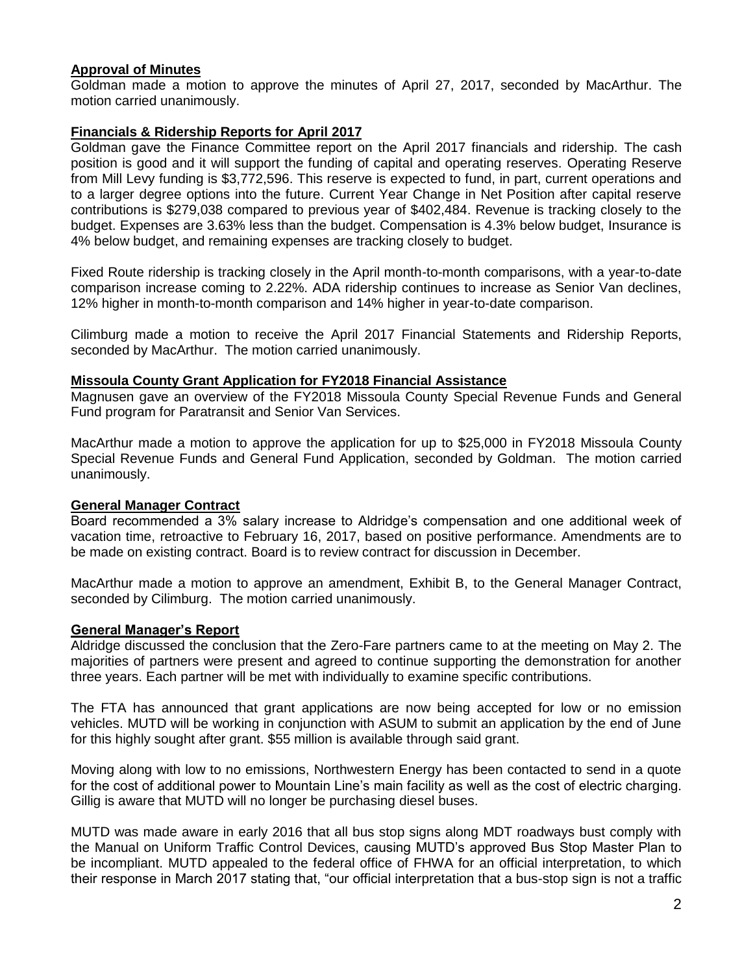## **Approval of Minutes**

Goldman made a motion to approve the minutes of April 27, 2017, seconded by MacArthur. The motion carried unanimously.

## **Financials & Ridership Reports for April 2017**

Goldman gave the Finance Committee report on the April 2017 financials and ridership. The cash position is good and it will support the funding of capital and operating reserves. Operating Reserve from Mill Levy funding is \$3,772,596. This reserve is expected to fund, in part, current operations and to a larger degree options into the future. Current Year Change in Net Position after capital reserve contributions is \$279,038 compared to previous year of \$402,484. Revenue is tracking closely to the budget. Expenses are 3.63% less than the budget. Compensation is 4.3% below budget, Insurance is 4% below budget, and remaining expenses are tracking closely to budget.

Fixed Route ridership is tracking closely in the April month-to-month comparisons, with a year-to-date comparison increase coming to 2.22%. ADA ridership continues to increase as Senior Van declines, 12% higher in month-to-month comparison and 14% higher in year-to-date comparison.

Cilimburg made a motion to receive the April 2017 Financial Statements and Ridership Reports, seconded by MacArthur. The motion carried unanimously.

#### **Missoula County Grant Application for FY2018 Financial Assistance**

Magnusen gave an overview of the FY2018 Missoula County Special Revenue Funds and General Fund program for Paratransit and Senior Van Services.

MacArthur made a motion to approve the application for up to \$25,000 in FY2018 Missoula County Special Revenue Funds and General Fund Application, seconded by Goldman. The motion carried unanimously.

#### **General Manager Contract**

Board recommended a 3% salary increase to Aldridge's compensation and one additional week of vacation time, retroactive to February 16, 2017, based on positive performance. Amendments are to be made on existing contract. Board is to review contract for discussion in December.

MacArthur made a motion to approve an amendment, Exhibit B, to the General Manager Contract, seconded by Cilimburg. The motion carried unanimously.

#### **General Manager's Report**

Aldridge discussed the conclusion that the Zero-Fare partners came to at the meeting on May 2. The majorities of partners were present and agreed to continue supporting the demonstration for another three years. Each partner will be met with individually to examine specific contributions.

The FTA has announced that grant applications are now being accepted for low or no emission vehicles. MUTD will be working in conjunction with ASUM to submit an application by the end of June for this highly sought after grant. \$55 million is available through said grant.

Moving along with low to no emissions, Northwestern Energy has been contacted to send in a quote for the cost of additional power to Mountain Line's main facility as well as the cost of electric charging. Gillig is aware that MUTD will no longer be purchasing diesel buses.

MUTD was made aware in early 2016 that all bus stop signs along MDT roadways bust comply with the Manual on Uniform Traffic Control Devices, causing MUTD's approved Bus Stop Master Plan to be incompliant. MUTD appealed to the federal office of FHWA for an official interpretation, to which their response in March 2017 stating that, "our official interpretation that a bus-stop sign is not a traffic